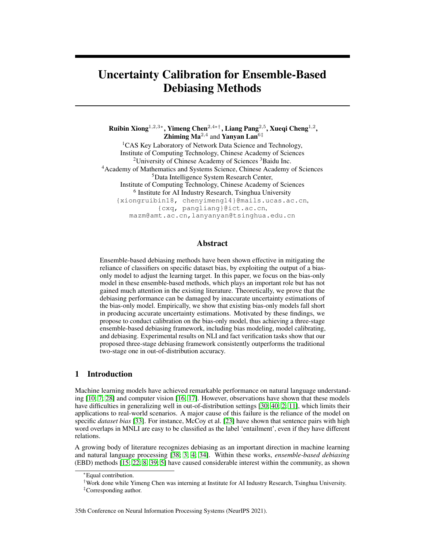# Uncertainty Calibration for Ensemble-Based Debiasing Methods

Ruibin Xiong $^{1,2,3*},$  Yimeng Chen $^{2,4* \dagger},$  Liang Pang $^{2,5},$  Xueqi Cheng $^{1,2},$ **Zhiming Ma<sup>2,4</sup>** and **Yanyan Lan**<sup>6‡</sup> <sup>1</sup>CAS Key Laboratory of Network Data Science and Technology, Institute of Computing Technology, Chinese Academy of Sciences  $2$ University of Chinese Academy of Sciences  $3$ Baidu Inc. <sup>4</sup>Academy of Mathematics and Systems Science, Chinese Academy of Sciences <sup>5</sup>Data Intelligence System Research Center, Institute of Computing Technology, Chinese Academy of Sciences <sup>6</sup> Institute for AI Industry Research, Tsinghua University {xiongruibin18, chenyimeng14}@mails.ucas.ac.cn, {cxq, pangliang}@ict.ac.cn, mazm@amt.ac.cn,lanyanyan@tsinghua.edu.cn

## Abstract

Ensemble-based debiasing methods have been shown effective in mitigating the reliance of classifiers on specific dataset bias, by exploiting the output of a biasonly model to adjust the learning target. In this paper, we focus on the bias-only model in these ensemble-based methods, which plays an important role but has not gained much attention in the existing literature. Theoretically, we prove that the debiasing performance can be damaged by inaccurate uncertainty estimations of the bias-only model. Empirically, we show that existing bias-only models fall short in producing accurate uncertainty estimations. Motivated by these findings, we propose to conduct calibration on the bias-only model, thus achieving a three-stage ensemble-based debiasing framework, including bias modeling, model calibrating, and debiasing. Experimental results on NLI and fact verification tasks show that our proposed three-stage debiasing framework consistently outperforms the traditional two-stage one in out-of-distribution accuracy.

## 1 Introduction

Machine learning models have achieved remarkable performance on natural language understanding [\[10;](#page-10-0) [7;](#page-9-0) [28\]](#page-11-0) and computer vision [\[16;](#page-10-1) [17\]](#page-10-2). However, observations have shown that these models have difficulties in generalizing well in out-of-distribution settings [\[30;](#page-11-1) [40;](#page-12-0) [2;](#page-9-1) [11\]](#page-10-3), which limits their applications to real-world scenarios. A major cause of this failure is the reliance of the model on specific *dataset bias* [\[33\]](#page-11-2). For instance, McCoy et al. [\[23\]](#page-10-4) have shown that sentence pairs with high word overlaps in MNLI are easy to be classified as the label 'entailment', even if they have different relations.

A growing body of literature recognizes debiasing as an important direction in machine learning and natural language processing [\[38;](#page-11-3) [3;](#page-9-2) [4;](#page-9-3) [34\]](#page-11-4). Within these works, *ensemble-based debiasing* (EBD) methods [\[15;](#page-10-5) [22;](#page-10-6) [8;](#page-9-4) [39;](#page-12-1) [5\]](#page-9-5) have caused considerable interest within the community, as shown

35th Conference on Neural Information Processing Systems (NeurIPS 2021).

<sup>∗</sup>Equal contribution.

<sup>†</sup>Work done while Yimeng Chen was interning at Institute for AI Industry Research, Tsinghua University.

<sup>‡</sup>Corresponding author.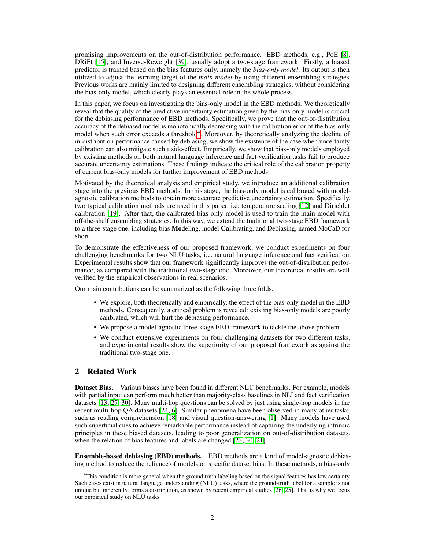promising improvements on the out-of-distribution performance. EBD methods, e.g., PoE [\[8\]](#page-9-4), DRiFt [\[15\]](#page-10-5), and Inverse-Reweight [\[39\]](#page-12-1), usually adopt a two-stage framework. Firstly, a biased predictor is trained based on the bias features only, namely the *bias-only model*. Its output is then utilized to adjust the learning target of the *main model* by using different ensembling strategies. Previous works are mainly limited to designing different ensembling strategies, without considering the bias-only model, which clearly plays an essential role in the whole process.

In this paper, we focus on investigating the bias-only model in the EBD methods. We theoretically reveal that the quality of the predictive uncertainty estimation given by the bias-only model is crucial for the debiasing performance of EBD methods. Specifically, we prove that the out-of-distribution accuracy of the debiased model is monotonically decreasing with the calibration error of the bias-only model when such error exceeds a threshold<sup>[4](#page-1-0)</sup>. Moreover, by theoretically analyzing the decline of in-distribution performance caused by debiasing, we show the existence of the case when uncertainty calibration can also mitigate such a side-effect. Empirically, we show that bias-only models employed by existing methods on both natural language inference and fact verification tasks fail to produce accurate uncertainty estimations. These findings indicate the critical role of the calibration property of current bias-only models for further improvement of EBD methods.

Motivated by the theoretical analysis and empirical study, we introduce an additional calibration stage into the previous EBD methods. In this stage, the bias-only model is calibrated with modelagnostic calibration methods to obtain more accurate predictive uncertainty estimation. Specifically, two typical calibration methods are used in this paper, i.e. temperature scaling [\[12\]](#page-10-7) and Dirichlet calibration [\[19\]](#page-10-8). After that, the calibrated bias-only model is used to train the main model with off-the-shelf ensembling strategies. In this way, we extend the traditional two-stage EBD framework to a three-stage one, including bias Modeling, model Calibrating, and Debiasing, named MoCaD for short.

To demonstrate the effectiveness of our proposed framework, we conduct experiments on four challenging benchmarks for two NLU tasks, i.e. natural language inference and fact verification. Experimental results show that our framework significantly improves the out-of-distribution performance, as compared with the traditional two-stage one. Moreover, our theoretical results are well verified by the empirical observations in real scenarios.

Our main contributions can be summarized as the following three folds.

- We explore, both theoretically and empirically, the effect of the bias-only model in the EBD methods. Consequently, a critical problem is revealed: existing bias-only models are poorly calibrated, which will hurt the debiasing performance.
- We propose a model-agnostic three-stage EBD framework to tackle the above problem.
- We conduct extensive experiments on four challenging datasets for two different tasks, and experimental results show the superiority of our proposed framework as against the traditional two-stage one.

## 2 Related Work

Dataset Bias. Various biases have been found in different NLU benchmarks. For example, models with partial input can perform much better than majority-class baselines in NLI and fact verification datasets [\[13;](#page-10-9) [27;](#page-11-5) [30\]](#page-11-1). Many multi-hop questions can be solved by just using single-hop models in the recent multi-hop QA datasets [\[24;](#page-11-6) [6\]](#page-9-6). Similar phenomena have been observed in many other tasks, such as reading comprehension [\[18\]](#page-10-10) and visual question-answering [\[1\]](#page-9-7). Many models have used such superficial cues to achieve remarkable performance instead of capturing the underlying intrinsic principles in these biased datasets, leading to poor generalization on out-of-distribution datasets, when the relation of bias features and labels are changed [\[23;](#page-10-4) [30;](#page-11-1) [21\]](#page-10-11).

Ensemble-based debiasing (EBD) methods. EBD methods are a kind of model-agnostic debiasing method to reduce the reliance of models on specific dataset bias. In these methods, a bias-only

<span id="page-1-0"></span><sup>&</sup>lt;sup>4</sup>This condition is more general when the ground truth labeling based on the signal features has low certainty. Such cases exist in natural language understanding (NLU) tasks, where the ground-truth label for a sample is not unique but inherently forms a distribution, as shown by recent empirical studies [\[26;](#page-11-7) [25\]](#page-11-8). That is why we focus our empirical study on NLU tasks.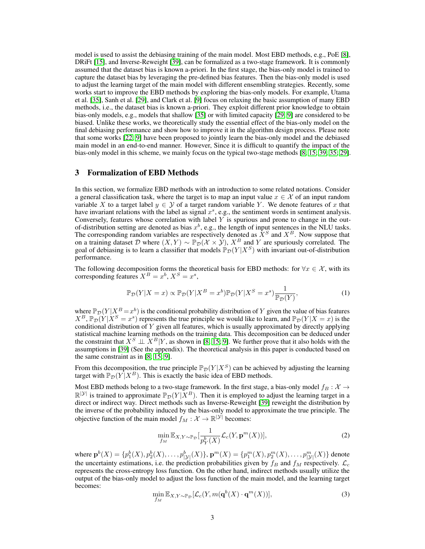model is used to assist the debiasing training of the main model. Most EBD methods, e.g., PoE [\[8\]](#page-9-4), DRiFt [\[15\]](#page-10-5), and Inverse-Reweight [\[39\]](#page-12-1), can be formalized as a two-stage framework. It is commonly assumed that the dataset bias is known a-priori. In the first stage, the bias-only model is trained to capture the dataset bias by leveraging the pre-defined bias features. Then the bias-only model is used to adjust the learning target of the main model with different ensembling strategies. Recently, some works start to improve the EBD methods by exploring the bias-only models. For example, Utama et al. [\[35\]](#page-11-9), Sanh et al. [\[29\]](#page-11-10), and Clark et al. [\[9\]](#page-9-8) focus on relaxing the basic assumption of many EBD methods, i.e., the dataset bias is known a-priori. They exploit different prior knowledge to obtain bias-only models, e.g., models that shallow [\[35\]](#page-11-9) or with limited capacity [\[29;](#page-11-10) [9\]](#page-9-8) are considered to be biased. Unlike these works, we theoretically study the essential effect of the bias-only model on the final debiasing performance and show how to improve it in the algorithm design process. Please note that some works [\[22;](#page-10-6) [9\]](#page-9-8) have been proposed to jointly learn the bias-only model and the debiased main model in an end-to-end manner. However, Since it is difficult to quantify the impact of the bias-only model in this scheme, we mainly focus on the typical two-stage methods [\[8;](#page-9-4) [15;](#page-10-5) [39;](#page-12-1) [35;](#page-11-9) [29\]](#page-11-10).

## <span id="page-2-0"></span>3 Formalization of EBD Methods

In this section, we formalize EBD methods with an introduction to some related notations. Consider a general classification task, where the target is to map an input value  $x \in \mathcal{X}$  of an input random variable X to a target label  $y \in Y$  of a target random variable Y. We denote features of x that have invariant relations with the label as signal  $x^s$ , e.g., the sentiment words in sentiment analysis. Conversely, features whose correlation with label  $Y$  is spurious and prone to change in the outof-distribution setting are denoted as bias  $x^b$ , e.g., the length of input sentences in the NLU tasks. The corresponding random variables are respectively denoted as  $\tilde{X}^S$  and  $X^B$ . Now suppose that on a training dataset D where  $(X, Y) \sim \mathbb{P}_p(X \times \mathcal{Y}), X^B$  and Y are spuriously correlated. The goal of debiasing is to learn a classifier that models  $\mathbb{P}_{\mathcal{D}}(Y | X^S)$  with invariant out-of-distribution performance.

The following decomposition forms the theoretical basis for EBD methods: for  $\forall x \in \mathcal{X}$ , with its corresponding features  $X^B = x^b, X^S = x^s$ ,

$$
\mathbb{P}_{\mathcal{D}}(Y|X=x) \propto \mathbb{P}_{\mathcal{D}}(Y|X^B=x^b)\mathbb{P}_{\mathcal{D}}(Y|X^S=x^s)\frac{1}{\mathbb{P}_{\mathcal{D}}(Y)},\tag{1}
$$

where  $\mathbb{P}_{\mathcal{D}}(Y | X^B = x^b)$  is the conditional probability distribution of Y given the value of bias features  $X^B$ ,  $\mathbb{P}_{\mathcal{D}}(Y | X^S = x^s)$  represents the true principle we would like to learn, and  $\mathbb{P}_{\mathcal{D}}(Y | X = x)$  is the conditional distribution of  $Y$  given all features, which is usually approximated by directly applying statistical machine learning methods on the training data. This decomposition can be deduced under the constraint that  $X^S \perp \perp X^B|Y$ , as shown in [\[8;](#page-9-4) [15;](#page-10-5) [9\]](#page-9-8). We further prove that it also holds with the assumptions in [\[39\]](#page-12-1) (See the appendix). The theoretical analysis in this paper is conducted based on the same constraint as in [\[8;](#page-9-4) [15;](#page-10-5) [9\]](#page-9-8).

From this decomposition, the true principle  $\mathbb{P}_{\mathcal{D}}(Y | X^S)$  can be achieved by adjusting the learning target with  $\mathbb{P}_{\mathcal{D}}(Y | X^B)$ . This is exactly the basic idea of EBD methods.

Most EBD methods belong to a two-stage framework. In the first stage, a bias-only model  $f_B : \mathcal{X} \to$  $\mathbb{R}^{|\mathcal{Y}|}$  is trained to approximate  $\mathbb{P}_{\mathcal{D}}(Y | X^B)$ . Then it is employed to adjust the learning target in a direct or indirect way. Direct methods such as Inverse-Reweight [\[39\]](#page-12-1) reweight the distribution by the inverse of the probability induced by the bias-only model to approximate the true principle. The objective function of the main model  $f_M : \mathcal{X} \to \mathbb{R}^{|\mathcal{Y}|}$  becomes:

$$
\min_{f_M} \mathbb{E}_{X,Y \sim \mathbb{P}_{\mathcal{D}}}[\frac{1}{p_Y^b(X)} \mathcal{L}_c(Y, \mathbf{p}^m(X))],\tag{2}
$$

where  $\mathbf{p}^b(X)=\{p_1^b(X),p_2^b(X),\ldots,p_{|\mathcal{Y}|}^b(X)\},$   $\mathbf{p}^m(X)=\{p_1^m(X),p_2^m(X),\ldots,p_{|\mathcal{Y}|}^m(X)\}$  denote the uncertainty estimations, i.e. the prediction probabilities given by  $f_B$  and  $f_M$  respectively.  $\mathcal{L}_c$ represents the cross-entropy loss function. On the other hand, indirect methods usually utilize the output of the bias-only model to adjust the loss function of the main model, and the learning target becomes:

$$
\min_{f_M} \mathbb{E}_{X,Y \sim \mathbb{P}_{\mathcal{D}}} [\mathcal{L}_c(Y, m(\mathbf{q}^b(X) \cdot \mathbf{q}^m(X))], \tag{3}
$$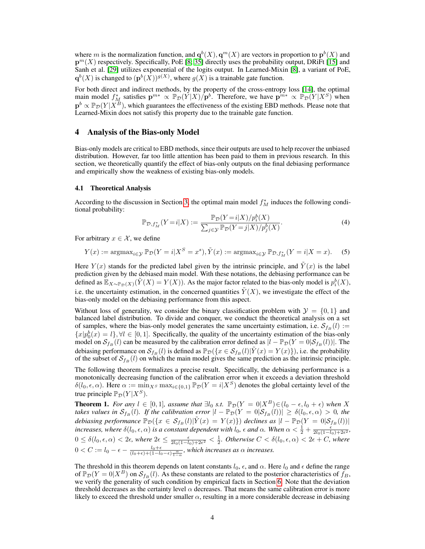where m is the normalization function, and  $q^{b}(X), q^{m}(X)$  are vectors in proportion to  $p^{b}(X)$  and  $p^{m}(X)$  respectively. Specifically, PoE [\[8;](#page-9-4) [35\]](#page-11-9) directly uses the probability output, DRiFt [\[15\]](#page-10-5) and Sanh et al. [\[29\]](#page-11-10) utilizes exponential of the logits output. In Learned-Mixin [\[8\]](#page-9-4), a variant of PoE,  $\mathbf{q}^{b}(X)$  is changed to  $(\mathbf{p}^{b}(X))^{g(X)}$ , where  $g(X)$  is a trainable gate function.

For both direct and indirect methods, by the property of the cross-entropy loss [\[14\]](#page-10-12), the optimal main model  $f_M^*$  satisfies  $\mathbf{p}^{m*} \propto \mathbb{P}_{\mathcal{D}}(Y|X)/\mathbf{p}^b$ . Therefore, we have  $\mathbf{p}^{m*} \propto \mathbb{P}_{\mathcal{D}}(Y|X^S)$  when  $p^b \propto \mathbb{P}_{\mathcal{D}}(Y|X^B)$ , which guarantees the effectiveness of the existing EBD methods. Please note that Learned-Mixin does not satisfy this property due to the trainable gate function.

#### 4 Analysis of the Bias-only Model

Bias-only models are critical to EBD methods, since their outputs are used to help recover the unbiased distribution. However, far too little attention has been paid to them in previous research. In this section, we theoretically quantify the effect of bias-only outputs on the final debiasing performance and empirically show the weakness of existing bias-only models.

#### 4.1 Theoretical Analysis

According to the discussion in Section [3,](#page-2-0) the optimal main model  $f_M^*$  induces the following conditional probability:

$$
\mathbb{P}_{\mathcal{D},f_M^*}(Y=i|X) := \frac{\mathbb{P}_{\mathcal{D}}(Y=i|X)/p_i^b(X)}{\sum_{j\in\mathcal{Y}} \mathbb{P}_{\mathcal{D}}(Y=j|X)/p_j^b(X)}.
$$
\n(4)

For arbitrary  $x \in \mathcal{X}$ , we define

$$
Y(x) := \operatorname{argmax}_{i \in \mathcal{Y}} \mathbb{P}_{\mathcal{D}}(Y = i | X^S = x^s), \tilde{Y}(x) := \operatorname{argmax}_{i \in \mathcal{Y}} \mathbb{P}_{\mathcal{D}, f_M^*}(Y = i | X = x). \tag{5}
$$

Here  $Y(x)$  stands for the predicted label given by the intrinsic principle, and  $\tilde{Y}(x)$  is the label prediction given by the debiased main model. With these notations, the debiasing performance can be defined as  $\mathbb{E}_{X \sim \mathbb{P}_{\mathcal{D}}(X)}(\tilde{Y}(X) = Y(X))$ . As the major factor related to the bias-only model is  $p_i^b(X)$ , i.e. the uncertainty estimation, in the concerned quantities  $\tilde{Y}(X)$ , we investigate the effect of the bias-only model on the debiasing performance from this aspect.

Without loss of generality, we consider the binary classification problem with  $\mathcal{Y} = \{0, 1\}$  and balanced label distribution. To divide and conquer, we conduct the theoretical analysis on a set of samples, where the bias-only model generates the same uncertainty estimation, i.e.  $S_{f_B} (l) :=$  ${x|p_0^b(x) = l}$ ,  $\forall l \in [0, 1]$ . Specifically, the quality of the uncertainty estimation of the bias-only model on  $S_{f_B}(l)$  can be measured by the calibration error defined as  $|l - \mathbb{P}_{\mathcal{D}}(Y = 0|S_{f_B}(l))|$ . The debiasing performance on  $\mathcal{S}_{f_B}(l)$  is defined as  $\mathbb{P}_{\mathcal{D}}(\{x \in \mathcal{S}_{f_B}(l)|\tilde{Y}(x) = Y(x)\})$ , i.e. the probability of the subset of  $S_{f_B}(l)$  on which the main model gives the same prediction as the intrinsic principle.

The following theorem formalizes a precise result. Specifically, the debiasing performance is a monotonically decreasing function of the calibration error when it exceeds a deviation threshold  $\delta(l_0, \epsilon, \alpha)$ . Here  $\alpha := \min_{X^S} \max_{i \in \{0,1\}} \mathbb{P}_{\mathcal{D}}(Y = i | X^S)$  denotes the global certainty level of the true principle  $\mathbb{P}_{\mathcal{D}}(Y | X^S)$ .

<span id="page-3-0"></span>**Theorem 1.** *For any*  $l \in [0, 1]$ *, assume that*  $\exists l_0$  *s.t.*  $\mathbb{P}_{\mathcal{D}}(Y = 0 | X^B) \in (l_0 - \epsilon, l_0 + \epsilon)$  *when* X *takes values in*  $S_{f_B}(l)$ *. If the calibration error*  $|l - \mathbb{P}_{\mathcal{D}}(Y = 0|\mathcal{S}_{f_B}(l))| \geq \delta(l_0, \epsilon, \alpha) > 0$ , the *debiasing performance*  $\mathbb{P}_{\mathcal{D}}(\{x \in \mathcal{S}_{f_B}(l)|\tilde{Y}(x) = Y(x)\})$  *declines as*  $|l - \mathbb{P}_{\mathcal{D}}(Y = 0|\mathcal{S}_{f_B}(l))|$ *increases, where*  $\delta(l_0, \epsilon, \alpha)$  *is a constant dependent with*  $l_0$ ,  $\epsilon$  *and*  $\alpha$ . When  $\alpha < \frac{1}{2} + \frac{\epsilon}{2l_0(1 - l_0) + 2\epsilon^2}$ ,  $0 \le \delta(l_0, \epsilon, \alpha) < 2\epsilon$ , where  $2\epsilon \le \frac{\epsilon}{2l_0(1-l_0)+2\epsilon^2} < \frac{1}{2}$ . Otherwise  $C < \delta(l_0, \epsilon, \alpha) < 2\epsilon + C$ , where  $0 < C := l_0 - \epsilon - \frac{l_0 + \epsilon}{(l_0 + \epsilon) + (1 - l_0 - \epsilon) \frac{\alpha}{1 - \alpha}}$ , which increases as  $\alpha$  increases.

The threshold in this theorem depends on latent constants  $l_0$ ,  $\epsilon$ , and  $\alpha$ . Here  $l_0$  and  $\epsilon$  define the range of  $\mathbb{P}_{\mathcal{D}}(Y=0|X^B)$  on  $\mathcal{S}_{f_B}(l)$ . As these constants are related to the posterior characteristics of  $f_B$ , we verify the generality of such condition by empirical facts in Section [6.](#page-6-0) Note that the deviation threshold decreases as the certainty level  $\alpha$  decreases. That means the same calibration error is more likely to exceed the threshold under smaller  $\alpha$ , resulting in a more considerable decrease in debiasing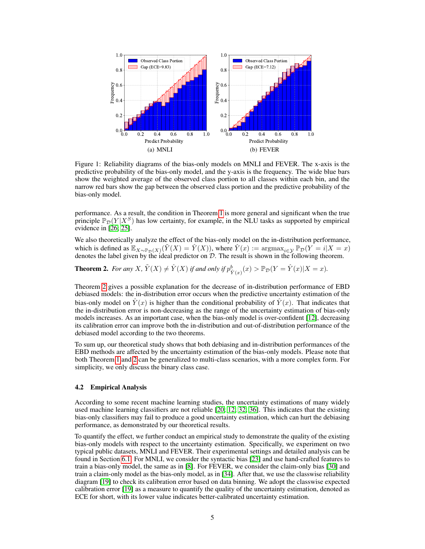<span id="page-4-1"></span>

Figure 1: Reliability diagrams of the bias-only models on MNLI and FEVER. The x-axis is the predictive probability of the bias-only model, and the y-axis is the frequency. The wide blue bars show the weighted average of the observed class portion to all classes within each bin, and the narrow red bars show the gap between the observed class portion and the predictive probability of the bias-only model.

performance. As a result, the condition in Theorem [1](#page-3-0) is more general and significant when the true principle  $\mathbb{P}_{\mathcal{D}}(Y | X^S)$  has low certainty, for example, in the NLU tasks as supported by empirical evidence in [\[26;](#page-11-7) [25\]](#page-11-8).

We also theoretically analyze the effect of the bias-only model on the in-distribution performance, which is defined as  $\mathbb{E}_{X \sim \mathbb{P}_{\mathcal{D}}(X)}(\tilde{Y}(X) = \hat{Y}(X))$ , where  $\hat{Y}(x) := \text{argmax}_{i \in \mathcal{Y}} \mathbb{P}_{\mathcal{D}}(Y = i | X = x)$ denotes the label given by the ideal predictor on  $D$ . The result is shown in the following theorem.

<span id="page-4-0"></span>**Theorem 2.** For any X,  $\tilde{Y}(X) \neq \hat{Y}(X)$  if and only if  $p_{\hat{Y}(x)}^b(x) > \mathbb{P}_{\mathcal{D}}(Y = \hat{Y}(x)|X = x)$ .

Theorem [2](#page-4-0) gives a possible explanation for the decrease of in-distribution performance of EBD debiased models: the in-distribution error occurs when the predictive uncertainty estimation of the bias-only model on  $Y(x)$  is higher than the conditional probability of  $Y(x)$ . That indicates that the in-distribution error is non-decreasing as the range of the uncertainty estimation of bias-only models increases. As an important case, when the bias-only model is over-confident [\[12\]](#page-10-7), decreasing its calibration error can improve both the in-distribution and out-of-distribution performance of the debiased model according to the two theorems.

To sum up, our theoretical study shows that both debiasing and in-distribution performances of the EBD methods are affected by the uncertainty estimation of the bias-only models. Please note that both Theorem [1](#page-3-0) and [2](#page-4-0) can be generalized to multi-class scenarios, with a more complex form. For simplicity, we only discuss the binary class case.

#### 4.2 Empirical Analysis

According to some recent machine learning studies, the uncertainty estimations of many widely used machine learning classifiers are not reliable [\[20;](#page-10-13) [12;](#page-10-7) [32;](#page-11-11) [36\]](#page-11-12). This indicates that the existing bias-only classifiers may fail to produce a good uncertainty estimation, which can hurt the debiasing performance, as demonstrated by our theoretical results.

To quantify the effect, we further conduct an empirical study to demonstrate the quality of the existing bias-only models with respect to the uncertainty estimation. Specifically, we experiment on two typical public datasets, MNLI and FEVER. Their experimental settings and detailed analysis can be found in Section [6.1.](#page-6-1) For MNLI, we consider the syntactic bias [\[23\]](#page-10-4) and use hand-crafted features to train a bias-only model, the same as in [\[8\]](#page-9-4). For FEVER, we consider the claim-only bias [\[30\]](#page-11-1) and train a claim-only model as the bias-only model, as in [\[34\]](#page-11-4). After that, we use the classwise reliability diagram [\[19\]](#page-10-8) to check its calibration error based on data binning. We adopt the classwise expected calibration error [\[19\]](#page-10-8) as a measure to quantify the quality of the uncertainty estimation, denoted as ECE for short, with its lower value indicates better-calibrated uncertainty estimation.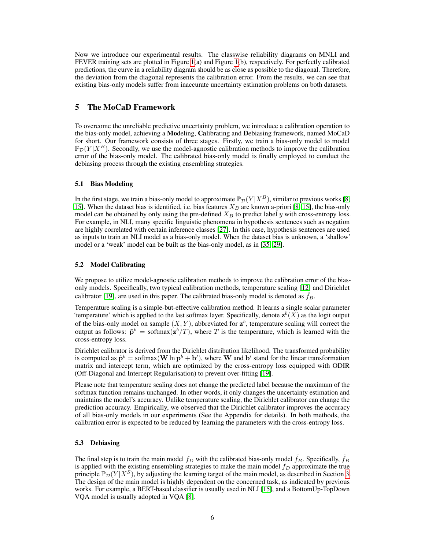Now we introduce our experimental results. The classwise reliability diagrams on MNLI and FEVER training sets are plotted in Figure [1\(](#page-4-1)a) and Figure [1\(](#page-4-1)b), respectively. For perfectly calibrated predictions, the curve in a reliability diagram should be as close as possible to the diagonal. Therefore, the deviation from the diagonal represents the calibration error. From the results, we can see that existing bias-only models suffer from inaccurate uncertainty estimation problems on both datasets.

## 5 The MoCaD Framework

To overcome the unreliable predictive uncertainty problem, we introduce a calibration operation to the bias-only model, achieving a Modeling, Calibrating and Debiasing framework, named MoCaD for short. Our framework consists of three stages. Firstly, we train a bias-only model to model  $\mathbb{P}_{\mathcal{D}}(Y | X^B)$ . Secondly, we use the model-agnostic calibration methods to improve the calibration error of the bias-only model. The calibrated bias-only model is finally employed to conduct the debiasing process through the existing ensembling strategies.

#### 5.1 Bias Modeling

In the first stage, we train a bias-only model to approximate  $\mathbb{P}_{\mathcal{D}}(Y | X^B)$ , similar to previous works [\[8;](#page-9-4) [15\]](#page-10-5). When the dataset bias is identified, i.e. bias features  $X_B$  are known a-priori [\[8;](#page-9-4) 15], the bias-only model can be obtained by only using the pre-defined  $X_B$  to predict label y with cross-entropy loss. For example, in NLI, many specific linguistic phenomena in hypothesis sentences such as negation are highly correlated with certain inference classes [\[27\]](#page-11-5). In this case, hypothesis sentences are used as inputs to train an NLI model as a bias-only model. When the dataset bias is unknown, a 'shallow' model or a 'weak' model can be built as the bias-only model, as in [\[35;](#page-11-9) [29\]](#page-11-10).

#### 5.2 Model Calibrating

We propose to utilize model-agnostic calibration methods to improve the calibration error of the biasonly models. Specifically, two typical calibration methods, temperature scaling [\[12\]](#page-10-7) and Dirichlet calibrator [\[19\]](#page-10-8), are used in this paper. The calibrated bias-only model is denoted as  $f_B$ .

Temperature scaling is a simple-but-effective calibration method. It learns a single scalar parameter 'temperature' which is applied to the last softmax layer. Specifically, denote  $z^b(X)$  as the logit output of the bias-only model on sample  $(X, Y)$ , abbreviated for  $\mathbf{z}^b$ , temperature scaling will correct the output as follows:  $\tilde{\mathbf{p}}^b = \text{softmax}(\mathbf{z}^b / T)$ , where T is the temperature, which is learned with the cross-entropy loss.

Dirichlet calibrator is derived from the Dirichlet distribution likelihood. The transformed probability is computed as  $\tilde{\mathbf{p}}^b = \text{softmax}(\mathbf{W} \ln \mathbf{p}^b + \mathbf{b}')$ , where **W** and  $\mathbf{b}'$  stand for the linear transformation matrix and intercept term, which are optimized by the cross-entropy loss equipped with ODIR (Off-Diagonal and Intercept Regularisation) to prevent over-fitting [\[19\]](#page-10-8).

Please note that temperature scaling does not change the predicted label because the maximum of the softmax function remains unchanged. In other words, it only changes the uncertainty estimation and maintains the model's accuracy. Unlike temperature scaling, the Dirichlet calibrator can change the prediction accuracy. Empirically, we observed that the Dirichlet calibrator improves the accuracy of all bias-only models in our experiments (See the Appendix for details). In both methods, the calibration error is expected to be reduced by learning the parameters with the cross-entropy loss.

#### 5.3 Debiasing

The final step is to train the main model  $f_D$  with the calibrated bias-only model  $f_B$ . Specifically,  $f_B$ is applied with the existing ensembling strategies to make the main model  $f<sub>D</sub>$  approximate the true principle  $\mathbb{P}_{\mathcal{D}}(Y | X^S)$ , by adjusting the learning target of the main model, as described in Section [3.](#page-2-0) The design of the main model is highly dependent on the concerned task, as indicated by previous works. For example, a BERT-based classifier is usually used in NLI [\[15\]](#page-10-5), and a BottomUp-TopDown VQA model is usually adopted in VQA [\[8\]](#page-9-4).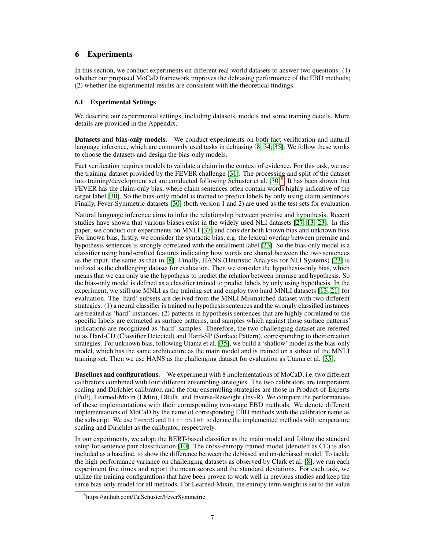## <span id="page-6-0"></span>6 Experiments

In this section, we conduct experiments on different real-world datasets to answer two questions: (1) whether our proposed MoCaD framework improves the debiasing performance of the EBD methods; (2) whether the experimental results are consistent with the theoretical findings.

## <span id="page-6-1"></span>6.1 Experimental Settings

We describe our experimental settings, including datasets, models and some training details. More details are provided in the Appendix.

Datasets and bias-only models. We conduct experiments on both fact verification and natural language inference, which are commonly used tasks in debiasing [\[8;](#page-9-4) [34;](#page-11-4) [35\]](#page-11-9). We follow these works to choose the datasets and design the bias-only models.

Fact verification requires models to validate a claim in the context of evidence. For this task, we use the training dataset provided by the FEVER challenge [\[31\]](#page-11-13). The processing and split of the dataset into training/development set are conducted following Schuster et al.  $[30]$ <sup>[5](#page-6-2)</sup>. It has been shown that FEVER has the claim-only bias, where claim sentences often contain words highly indicative of the target label [\[30\]](#page-11-1). So the bias-only model is trained to predict labels by only using claim sentences. Finally, Fever-Symmetric datasets [\[30\]](#page-11-1) (both version 1 and 2) are used as the test sets for evaluation.

Natural language inference aims to infer the relationship between premise and hypothesis. Recent studies have shown that various biases exist in the widely used NLI datasets [\[27;](#page-11-5) [13;](#page-10-9) [23\]](#page-10-4). In this paper, we conduct our experiments on MNLI [\[37\]](#page-11-14) and consider both known bias and unknown bias. For known bias, firstly, we consider the syntactic bias, e.g. the lexical overlap between premise and hypothesis sentences is strongly correlated with the entailment label [\[23\]](#page-10-4). So the bias-only model is a classifier using hand-crafted features indicating how words are shared between the two sentences as the input, the same as that in [\[8\]](#page-9-4). Finally, HANS (Heuristic Analysis for NLI Systems) [\[23\]](#page-10-4) is utilized as the challenging dataset for evaluation. Then we consider the hypothesis-only bias, which means that we can only use the hypothesis to predict the relation between premise and hypothesis. So the bias-only model is defined as a classifier trained to predict labels by only using hypothesis. In the experiment, we still use MNLI as the training set and employ two hard MNLI datasets [\[13;](#page-10-9) [21\]](#page-10-11) for evaluation. The 'hard' subsets are derived from the MNLI Mismatched dataset with two different strategies: (1) a neural classifier is trained on hypothesis sentences and the wrongly classified instances are treated as 'hard' instances. (2) patterns in hypothesis sentences that are highly correlated to the specific labels are extracted as surface patterns, and samples which against those surface patterns' indications are recognized as 'hard' samples. Therefore, the two challenging dataset are referred to as Hard-CD (Classifier Detected) and Hard-SP (Surface Pattern), corresponding to their creation strategies. For unknown bias, following Utama et al. [\[35\]](#page-11-9), we build a 'shallow' model as the bias-only model, which has the same architecture as the main model and is trained on a subset of the MNLI training set. Then we use HANS as the challenging dataset for evaluation as Utama et al. [\[35\]](#page-11-9).

Baselines and configurations. We experiment with 8 implementations of MoCaD, i.e. two different calibrators combined with four different ensembling strategies. The two calibrators are temperature scaling and Dirichlet calibrator, and the four ensembling strategies are those in Product-of-Experts (PoE), Learned-Mixin (LMin), DRiFt, and Inverse-Reweight (Inv-R). We compare the performances of these implementations with their corresponding two-stage EBD methods. We denote different implementations of MoCaD by the name of corresponding EBD methods with the calibrator name as the subscript. We use TempS and Dirichlet to denote the implemented methods with temperature scaling and Dirichlet as the calibrator, respectively.

In our experiments, we adopt the BERT-based classifier as the main model and follow the standard setup for sentence pair classification [\[10\]](#page-10-0). The cross-entropy trained model (denoted as CE) is also included as a baseline, to show the difference between the debiased and un-debiased model. To tackle the high performance variance on challenging datasets as observed by Clark et al. [\[8\]](#page-9-4), we run each experiment five times and report the mean scores and the standard deviations. For each task, we utilize the training configurations that have been proven to work well in previous studies and keep the same bias-only model for all methods. For Learned-Mixin, the entropy term weight is set to the value

<span id="page-6-2"></span><sup>5</sup> https://github.com/TalSchuster/FeverSymmetric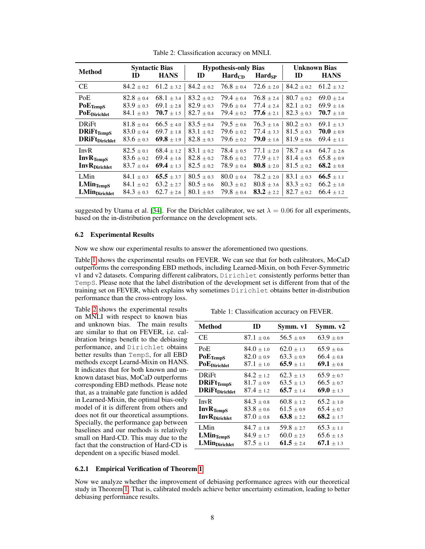<span id="page-7-1"></span>

| <b>Method</b>             | ID             | <b>Syntactic Bias</b><br><b>HANS</b> | ID             | <b>Hypothesis-only Bias</b><br>$\mathbf{Hard}_{CD}$ | Hardsp                | ID             | <b>Unknown Bias</b><br><b>HANS</b> |
|---------------------------|----------------|--------------------------------------|----------------|-----------------------------------------------------|-----------------------|----------------|------------------------------------|
| <b>CE</b>                 | $84.2 \pm 0.2$ | $61.2 \pm 3.2$                       | $84.2 \pm 0.2$ | $76.8 \pm 0.4$                                      | $72.6 \pm 2.0$        | $84.2 \pm 0.2$ | $61.2 \pm 3.2$                     |
| PoE                       | $82.8 \pm 0.4$ | $68.1 \pm 3.4$                       | $83.2 + 0.2$   | $79.4 \pm 0.4$                                      | $76.8 \pm 2.4$        | $80.7 \pm 0.2$ | $69.0 \pm 2.4$                     |
| $PoE$ TempS               | $83.9 \pm 0.3$ | $69.1 \pm 2.8$                       | $82.9 \pm 0.3$ | $79.6 \pm 0.4$                                      | $77.4 \pm 2.4$        | $82.1 \pm 0.2$ | $69.9 \pm 1.6$                     |
| PoEDirichlet              | $84.1 \pm 0.3$ | $70.7 \pm 1.5$                       | $82.7 \pm 0.4$ | $79.4 \pm 0.2$                                      | 77.6 $\pm$ 2.1        | $82.3 \pm 0.3$ | $70.7 \pm 1.0$                     |
| <b>DRiFt</b>              | $81.8\pm0.4$   | $66.5 \pm 4.0$                       | $83.5 \pm 0.4$ | $79.5 \pm 0.6$                                      | $76.3 \pm 1.6$        | $80.2 \pm 0.3$ | $69.1 \pm 1.3$                     |
| $DRif$ <sub>TempS</sub>   | $83.0 \pm 0.4$ | $69.7 \pm 1.8$                       | $83.1 \pm 0.2$ | $79.6 \pm 0.2$                                      | $77.4 \pm 3.3$        | $81.5 \pm 0.3$ | $70.0 \pm 0.9$                     |
| <b>DRiFt</b> Dirichlet    | $83.6 \pm 0.3$ | 69.8 $\pm$ 1.9                       | $82.8 \pm 0.3$ | $79.6 \pm 0.2$                                      | <b>79.0</b> $\pm$ 1.6 | $81.9 \pm 0.6$ | $69.4 \pm 1.1$                     |
| InvR                      | $82.5 \pm 0.1$ | $68.4 \pm 1.2$                       | $83.1 \pm 0.2$ | $78.4 + 0.5$                                        | $77.1 + 2.0$          | $78.7 \pm 4.8$ | $64.7 \pm 2.6$                     |
| InvR <sub>TempS</sub>     | $83.6 \pm 0.2$ | $69.4 \pm 1.6$                       | $82.8 \pm 0.2$ | $78.6 \pm 0.2$                                      | $77.9 \pm 1.7$        | $81.4 \pm 0.5$ | $65.8 \pm 0.9$                     |
| <b>InvR</b> Dirichlet     | $83.7 \pm 0.4$ | 69.4 $\pm$ 1.3                       | $82.5 \pm 0.2$ | $78.9 \pm 0.4$                                      | $80.8 \pm 2.0$        | $81.5 \pm 0.2$ | 68.2 $\pm$ 0.8                     |
| LMin                      | $84.1 \pm 0.3$ | $65.5 \pm 3.7$                       | $80.5 + 0.3$   | $80.0 + 0.4$                                        | $78.2 + 2.0$          | $83.1 \pm 0.3$ | 66.5 $\pm$ 1.1                     |
| $LMin_{TempS}$            | $84.1 \pm 0.2$ | $63.2 \pm 2.7$                       | $80.5 + 0.6$   | $80.3 \pm 0.2$                                      | $80.8 + 3.6$          | $83.3 + 0.2$   | $66.2 + 1.0$                       |
| LMin <sub>Dirichlet</sub> | $84.3 \pm 0.3$ | $62.7 \pm 2.6$                       | $80.1 \pm 0.5$ | $79.8 \pm 0.4$                                      | $83.2 \pm 2.2$        | $82.7 \pm 0.2$ | $66.4 \pm 1.2$                     |

Table 2: Classification accuracy on MNLI.

suggested by Utama et al. [\[34\]](#page-11-4). For the Dirichlet calibrator, we set  $\lambda = 0.06$  for all experiments, based on the in-distribution performance on the development sets.

#### 6.2 Experimental Results

Now we show our experimental results to answer the aforementioned two questions.

Table [1](#page-7-0) shows the experimental results on FEVER. We can see that for both calibrators, MoCaD outperforms the corresponding EBD methods, including Learned-Mixin, on both Fever-Symmetric v1 and v2 datasets. Comparing different calibrators, Dirichlet consistently performs better than TempS. Please note that the label distribution of the development set is different from that of the training set on FEVER, which explains why sometimes Dirichlet obtains better in-distribution performance than the cross-entropy loss.

Table [2](#page-7-1) shows the experimental results on MNLI with respect to known bias and unknown bias. The main results are similar to that on FEVER, i.e. calibration brings benefit to the debiasing performance, and Dirichlet obtains better results than TempS, for all EBD methods except Learnd-Mixin on HANS. It indicates that for both known and unknown dataset bias, MoCaD outperforms corresponding EBD methods. Please note that, as a trainable gate function is added in Learned-Mixin, the optimal bias-only model of it is different from others and does not fit our theoretical assumptions. Specially, the performance gap between – baselines and our methods is relatively small on Hard-CD. This may due to the fact that the construction of Hard-CD is dependent on a specific biased model.

<span id="page-7-0"></span>

| Method                    | ID             | Symm. v1       | Symm. v2       |
|---------------------------|----------------|----------------|----------------|
| СE                        | $87.1 + 0.6$   | $56.5 + 0.9$   | $63.9 + 0.9$   |
| PoE                       | $84.0 \pm 1.0$ | $62.0 \pm 1.3$ | $65.9 \pm 0.6$ |
| <b>PoETempS</b>           | $82.0 \pm 0.9$ | $63.3 + 0.9$   | $66.4 + 0.8$   |
| PoE <sub>Dirichlet</sub>  | $87.1 + 1.0$   | 65.9 $\pm$ 1.1 | 69.1 $\pm$ 0.8 |
| <b>DRiFt</b>              | $84.2 + 1.2$   | $62.3 + 1.5$   | $65.9 + 0.7$   |
| $DRiFt_{TempS}$           | $81.7 + 0.9$   | $63.5 + 1.3$   | $66.5 \pm 0.7$ |
| <b>DRiFt</b> Dirichlet    | $87.4 + 1.2$   | $65.7 + 1.4$   | 69.0 $\pm$ 1.3 |
| InvR                      | $84.3 \pm 0.8$ | $60.8 \pm 1.2$ | $65.2 \pm 1.0$ |
| InvR <sub>TempS</sub>     | $83.8 + 0.6$   | $61.5 \pm 0.9$ | $65.4 \pm 0.7$ |
| <b>InvR</b> Dirichlet     | $87.0 + 0.8$   | $63.8 + 2.2$   | 68.2 $\pm$ 1.7 |
| LMin                      | $84.7 \pm 1.8$ | $59.8 \pm 2.7$ | $65.3 \pm 1.1$ |
| <b>LMinTempS</b>          | $84.9 + 1.7$   | $60.0 \pm 2.5$ | $65.6 \pm 1.5$ |
| LMin <sub>Dirichlet</sub> | $87.5 + 1.1$   | 61.5 $\pm$ 2.4 | 67.1 $\pm$ 1.3 |

# Table 1: Classification accuracy on FEVER.

#### 6.2.1 Empirical Verification of Theorem [1](#page-3-0)

Now we analyze whether the improvement of debiasing performance agrees with our theoretical study in Theorem [1.](#page-3-0) That is, calibrated models achieve better uncertainty estimation, leading to better debiasing performance results.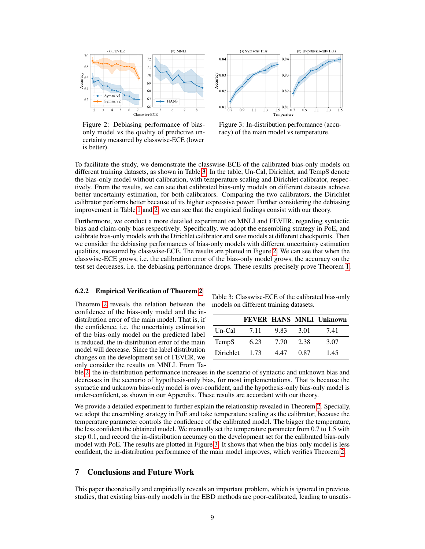<span id="page-8-1"></span>

Figure 2: Debiasing performance of biasonly model vs the quality of predictive uncertainty measured by classwise-ECE (lower is better).



Figure 3: In-distribution performance (accuracy) of the main model vs temperature.

To facilitate the study, we demonstrate the classwise-ECE of the calibrated bias-only models on different training datasets, as shown in Table [3.](#page-8-0) In the table, Un-Cal, Dirichlet, and TempS denote the bias-only model without calibration, with temperature scaling and Dirichlet calibrator, respectively. From the results, we can see that calibrated bias-only models on different datasets achieve better uncertainty estimation, for both calibrators. Comparing the two calibrators, the Dirichlet calibrator performs better because of its higher expressive power. Further considering the debiasing improvement in Table [1](#page-7-0) and [2,](#page-7-1) we can see that the empirical findings consist with our theory.

Furthermore, we conduct a more detailed experiment on MNLI and FEVER, regarding syntactic bias and claim-only bias respectively. Specifically, we adopt the ensembling strategy in PoE, and calibrate bias-only models with the Dirichlet calibrator and save models at different checkpoints. Then we consider the debiasing performances of bias-only models with different uncertainty estimation qualities, measured by classwise-ECE. The results are plotted in Figure [2.](#page-8-1) We can see that when the classwise-ECE grows, i.e. the calibration error of the bias-only model grows, the accuracy on the test set decreases, i.e. the debiasing performance drops. These results precisely prove Theorem [1.](#page-3-0)

#### 6.2.2 Empirical Verification of Theorem [2](#page-4-0)

Theorem [2](#page-4-0) reveals the relation between the confidence of the bias-only model and the indistribution error of the main model. That is, if the confidence, i.e. the uncertainty estimation of the bias-only model on the predicted label is reduced, the in-distribution error of the main model will decrease. Since the label distribution changes on the development set of FEVER, we only consider the results on MNLI. From Ta-

<span id="page-8-0"></span>Table 3: Classwise-ECE of the calibrated bias-only models on different training datasets.

|           |      |      |      | <b>FEVER HANS MNLI Unknown</b> |
|-----------|------|------|------|--------------------------------|
| Un-Cal    | 7.11 | 9.83 | 3.01 | 7.41                           |
| TempS     | 6.23 | 7.70 | 2.38 | 3.07                           |
| Dirichlet | 1.73 | 4 47 | 0.87 | 1.45                           |
|           |      |      |      |                                |

ble [2,](#page-7-1) the in-distribution performance increases in the scenario of syntactic and unknown bias and decreases in the scenario of hypothesis-only bias, for most implementations. That is because the syntactic and unknown bias-only model is over-confident, and the hypothesis-only bias-only model is under-confident, as shown in our Appendix. These results are accordant with our theory.

We provide a detailed experiment to further explain the relationship revealed in Theorem [2.](#page-4-0) Specially, we adopt the ensembling strategy in PoE and take temperature scaling as the calibrator, because the temperature parameter controls the confidence of the calibrated model. The bigger the temperature, the less confident the obtained model. We manually set the temperature parameter from 0.7 to 1.5 with step 0.1, and record the in-distribution accuracy on the development set for the calibrated bias-only model with PoE. The results are plotted in Figure [3.](#page-8-1) It shows that when the bias-only model is less confident, the in-distribution performance of the main model improves, which verifies Theorem [2.](#page-4-0)

#### 7 Conclusions and Future Work

This paper theoretically and empirically reveals an important problem, which is ignored in previous studies, that existing bias-only models in the EBD methods are poor-calibrated, leading to unsatis-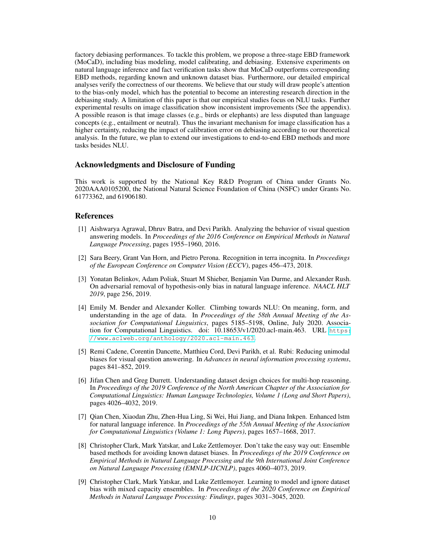factory debiasing performances. To tackle this problem, we propose a three-stage EBD framework (MoCaD), including bias modeling, model calibrating, and debiasing. Extensive experiments on natural language inference and fact verification tasks show that MoCaD outperforms corresponding EBD methods, regarding known and unknown dataset bias. Furthermore, our detailed empirical analyses verify the correctness of our theorems. We believe that our study will draw people's attention to the bias-only model, which has the potential to become an interesting research direction in the debiasing study. A limitation of this paper is that our empirical studies focus on NLU tasks. Further experimental results on image classification show inconsistent improvements (See the appendix). A possible reason is that image classes (e.g., birds or elephants) are less disputed than language concepts (e.g., entailment or neutral). Thus the invariant mechanism for image classification has a higher certainty, reducing the impact of calibration error on debiasing according to our theoretical analysis. In the future, we plan to extend our investigations to end-to-end EBD methods and more tasks besides NLU.

## Acknowledgments and Disclosure of Funding

This work is supported by the National Key R&D Program of China under Grants No. 2020AAA0105200, the National Natural Science Foundation of China (NSFC) under Grants No. 61773362, and 61906180.

## References

- <span id="page-9-7"></span>[1] Aishwarya Agrawal, Dhruv Batra, and Devi Parikh. Analyzing the behavior of visual question answering models. In *Proceedings of the 2016 Conference on Empirical Methods in Natural Language Processing*, pages 1955–1960, 2016.
- <span id="page-9-1"></span>[2] Sara Beery, Grant Van Horn, and Pietro Perona. Recognition in terra incognita. In *Proceedings of the European Conference on Computer Vision (ECCV)*, pages 456–473, 2018.
- <span id="page-9-2"></span>[3] Yonatan Belinkov, Adam Poliak, Stuart M Shieber, Benjamin Van Durme, and Alexander Rush. On adversarial removal of hypothesis-only bias in natural language inference. *NAACL HLT 2019*, page 256, 2019.
- <span id="page-9-3"></span>[4] Emily M. Bender and Alexander Koller. Climbing towards NLU: On meaning, form, and understanding in the age of data. In *Proceedings of the 58th Annual Meeting of the Association for Computational Linguistics*, pages 5185–5198, Online, July 2020. Association for Computational Linguistics. doi: 10.18653/v1/2020.acl-main.463. URL [https:](https://www.aclweb.org/anthology/2020.acl-main.463) [//www.aclweb.org/anthology/2020.acl-main.463](https://www.aclweb.org/anthology/2020.acl-main.463).
- <span id="page-9-5"></span>[5] Remi Cadene, Corentin Dancette, Matthieu Cord, Devi Parikh, et al. Rubi: Reducing unimodal biases for visual question answering. In *Advances in neural information processing systems*, pages 841–852, 2019.
- <span id="page-9-6"></span>[6] Jifan Chen and Greg Durrett. Understanding dataset design choices for multi-hop reasoning. In *Proceedings of the 2019 Conference of the North American Chapter of the Association for Computational Linguistics: Human Language Technologies, Volume 1 (Long and Short Papers)*, pages 4026–4032, 2019.
- <span id="page-9-0"></span>[7] Qian Chen, Xiaodan Zhu, Zhen-Hua Ling, Si Wei, Hui Jiang, and Diana Inkpen. Enhanced lstm for natural language inference. In *Proceedings of the 55th Annual Meeting of the Association for Computational Linguistics (Volume 1: Long Papers)*, pages 1657–1668, 2017.
- <span id="page-9-4"></span>[8] Christopher Clark, Mark Yatskar, and Luke Zettlemoyer. Don't take the easy way out: Ensemble based methods for avoiding known dataset biases. In *Proceedings of the 2019 Conference on Empirical Methods in Natural Language Processing and the 9th International Joint Conference on Natural Language Processing (EMNLP-IJCNLP)*, pages 4060–4073, 2019.
- <span id="page-9-8"></span>[9] Christopher Clark, Mark Yatskar, and Luke Zettlemoyer. Learning to model and ignore dataset bias with mixed capacity ensembles. In *Proceedings of the 2020 Conference on Empirical Methods in Natural Language Processing: Findings*, pages 3031–3045, 2020.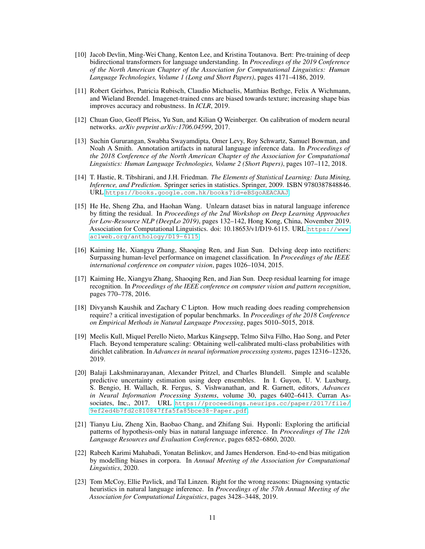- <span id="page-10-0"></span>[10] Jacob Devlin, Ming-Wei Chang, Kenton Lee, and Kristina Toutanova. Bert: Pre-training of deep bidirectional transformers for language understanding. In *Proceedings of the 2019 Conference of the North American Chapter of the Association for Computational Linguistics: Human Language Technologies, Volume 1 (Long and Short Papers)*, pages 4171–4186, 2019.
- <span id="page-10-3"></span>[11] Robert Geirhos, Patricia Rubisch, Claudio Michaelis, Matthias Bethge, Felix A Wichmann, and Wieland Brendel. Imagenet-trained cnns are biased towards texture; increasing shape bias improves accuracy and robustness. In *ICLR*, 2019.
- <span id="page-10-7"></span>[12] Chuan Guo, Geoff Pleiss, Yu Sun, and Kilian Q Weinberger. On calibration of modern neural networks. *arXiv preprint arXiv:1706.04599*, 2017.
- <span id="page-10-9"></span>[13] Suchin Gururangan, Swabha Swayamdipta, Omer Levy, Roy Schwartz, Samuel Bowman, and Noah A Smith. Annotation artifacts in natural language inference data. In *Proceedings of the 2018 Conference of the North American Chapter of the Association for Computational Linguistics: Human Language Technologies, Volume 2 (Short Papers)*, pages 107–112, 2018.
- <span id="page-10-12"></span>[14] T. Hastie, R. Tibshirani, and J.H. Friedman. *The Elements of Statistical Learning: Data Mining, Inference, and Prediction*. Springer series in statistics. Springer, 2009. ISBN 9780387848846. URL <https://books.google.com.hk/books?id=eBSgoAEACAAJ>.
- <span id="page-10-5"></span>[15] He He, Sheng Zha, and Haohan Wang. Unlearn dataset bias in natural language inference by fitting the residual. In *Proceedings of the 2nd Workshop on Deep Learning Approaches for Low-Resource NLP (DeepLo 2019)*, pages 132–142, Hong Kong, China, November 2019. Association for Computational Linguistics. doi: 10.18653/v1/D19-6115. URL [https://www.](https://www.aclweb.org/anthology/D19-6115) [aclweb.org/anthology/D19-6115](https://www.aclweb.org/anthology/D19-6115).
- <span id="page-10-1"></span>[16] Kaiming He, Xiangyu Zhang, Shaoqing Ren, and Jian Sun. Delving deep into rectifiers: Surpassing human-level performance on imagenet classification. In *Proceedings of the IEEE international conference on computer vision*, pages 1026–1034, 2015.
- <span id="page-10-2"></span>[17] Kaiming He, Xiangyu Zhang, Shaoqing Ren, and Jian Sun. Deep residual learning for image recognition. In *Proceedings of the IEEE conference on computer vision and pattern recognition*, pages 770–778, 2016.
- <span id="page-10-10"></span>[18] Divyansh Kaushik and Zachary C Lipton. How much reading does reading comprehension require? a critical investigation of popular benchmarks. In *Proceedings of the 2018 Conference on Empirical Methods in Natural Language Processing*, pages 5010–5015, 2018.
- <span id="page-10-8"></span>[19] Meelis Kull, Miquel Perello Nieto, Markus Kängsepp, Telmo Silva Filho, Hao Song, and Peter Flach. Beyond temperature scaling: Obtaining well-calibrated multi-class probabilities with dirichlet calibration. In *Advances in neural information processing systems*, pages 12316–12326, 2019.
- <span id="page-10-13"></span>[20] Balaji Lakshminarayanan, Alexander Pritzel, and Charles Blundell. Simple and scalable predictive uncertainty estimation using deep ensembles. In I. Guyon, U. V. Luxburg, S. Bengio, H. Wallach, R. Fergus, S. Vishwanathan, and R. Garnett, editors, *Advances in Neural Information Processing Systems*, volume 30, pages 6402–6413. Curran Associates, Inc., 2017. URL [https://proceedings.neurips.cc/paper/2017/file/](https://proceedings.neurips.cc/paper/2017/file/9ef2ed4b7fd2c810847ffa5fa85bce38-Paper.pdf) [9ef2ed4b7fd2c810847ffa5fa85bce38-Paper.pdf](https://proceedings.neurips.cc/paper/2017/file/9ef2ed4b7fd2c810847ffa5fa85bce38-Paper.pdf).
- <span id="page-10-11"></span>[21] Tianyu Liu, Zheng Xin, Baobao Chang, and Zhifang Sui. Hyponli: Exploring the artificial patterns of hypothesis-only bias in natural language inference. In *Proceedings of The 12th Language Resources and Evaluation Conference*, pages 6852–6860, 2020.
- <span id="page-10-6"></span>[22] Rabeeh Karimi Mahabadi, Yonatan Belinkov, and James Henderson. End-to-end bias mitigation by modelling biases in corpora. In *Annual Meeting of the Association for Computational Linguistics*, 2020.
- <span id="page-10-4"></span>[23] Tom McCoy, Ellie Pavlick, and Tal Linzen. Right for the wrong reasons: Diagnosing syntactic heuristics in natural language inference. In *Proceedings of the 57th Annual Meeting of the Association for Computational Linguistics*, pages 3428–3448, 2019.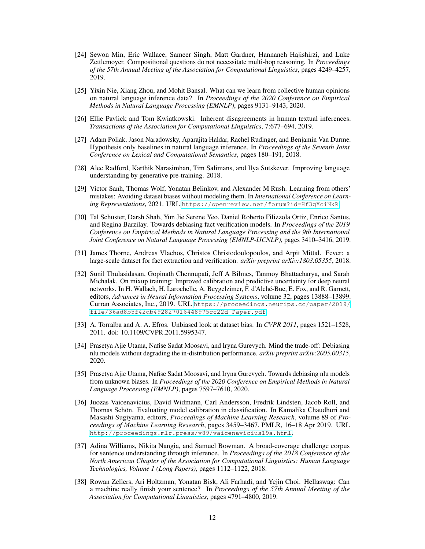- <span id="page-11-6"></span>[24] Sewon Min, Eric Wallace, Sameer Singh, Matt Gardner, Hannaneh Hajishirzi, and Luke Zettlemoyer. Compositional questions do not necessitate multi-hop reasoning. In *Proceedings of the 57th Annual Meeting of the Association for Computational Linguistics*, pages 4249–4257, 2019.
- <span id="page-11-8"></span>[25] Yixin Nie, Xiang Zhou, and Mohit Bansal. What can we learn from collective human opinions on natural language inference data? In *Proceedings of the 2020 Conference on Empirical Methods in Natural Language Processing (EMNLP)*, pages 9131–9143, 2020.
- <span id="page-11-7"></span>[26] Ellie Pavlick and Tom Kwiatkowski. Inherent disagreements in human textual inferences. *Transactions of the Association for Computational Linguistics*, 7:677–694, 2019.
- <span id="page-11-5"></span>[27] Adam Poliak, Jason Naradowsky, Aparajita Haldar, Rachel Rudinger, and Benjamin Van Durme. Hypothesis only baselines in natural language inference. In *Proceedings of the Seventh Joint Conference on Lexical and Computational Semantics*, pages 180–191, 2018.
- <span id="page-11-0"></span>[28] Alec Radford, Karthik Narasimhan, Tim Salimans, and Ilya Sutskever. Improving language understanding by generative pre-training. 2018.
- <span id="page-11-10"></span>[29] Victor Sanh, Thomas Wolf, Yonatan Belinkov, and Alexander M Rush. Learning from others' mistakes: Avoiding dataset biases without modeling them. In *International Conference on Learning Representations*, 2021. URL <https://openreview.net/forum?id=Hf3qXoiNkR>.
- <span id="page-11-1"></span>[30] Tal Schuster, Darsh Shah, Yun Jie Serene Yeo, Daniel Roberto Filizzola Ortiz, Enrico Santus, and Regina Barzilay. Towards debiasing fact verification models. In *Proceedings of the 2019 Conference on Empirical Methods in Natural Language Processing and the 9th International Joint Conference on Natural Language Processing (EMNLP-IJCNLP)*, pages 3410–3416, 2019.
- <span id="page-11-13"></span>[31] James Thorne, Andreas Vlachos, Christos Christodoulopoulos, and Arpit Mittal. Fever: a large-scale dataset for fact extraction and verification. *arXiv preprint arXiv:1803.05355*, 2018.
- <span id="page-11-11"></span>[32] Sunil Thulasidasan, Gopinath Chennupati, Jeff A Bilmes, Tanmoy Bhattacharya, and Sarah Michalak. On mixup training: Improved calibration and predictive uncertainty for deep neural networks. In H. Wallach, H. Larochelle, A. Beygelzimer, F. d'Alché-Buc, E. Fox, and R. Garnett, editors, *Advances in Neural Information Processing Systems*, volume 32, pages 13888–13899. Curran Associates, Inc., 2019. URL [https://proceedings.neurips.cc/paper/2019/](https://proceedings.neurips.cc/paper/2019/file/36ad8b5f42db492827016448975cc22d-Paper.pdf) [file/36ad8b5f42db492827016448975cc22d-Paper.pdf](https://proceedings.neurips.cc/paper/2019/file/36ad8b5f42db492827016448975cc22d-Paper.pdf).
- <span id="page-11-2"></span>[33] A. Torralba and A. A. Efros. Unbiased look at dataset bias. In *CVPR 2011*, pages 1521–1528, 2011. doi: 10.1109/CVPR.2011.5995347.
- <span id="page-11-4"></span>[34] Prasetya Ajie Utama, Nafise Sadat Moosavi, and Iryna Gurevych. Mind the trade-off: Debiasing nlu models without degrading the in-distribution performance. *arXiv preprint arXiv:2005.00315*, 2020.
- <span id="page-11-9"></span>[35] Prasetya Ajie Utama, Nafise Sadat Moosavi, and Iryna Gurevych. Towards debiasing nlu models from unknown biases. In *Proceedings of the 2020 Conference on Empirical Methods in Natural Language Processing (EMNLP)*, pages 7597–7610, 2020.
- <span id="page-11-12"></span>[36] Juozas Vaicenavicius, David Widmann, Carl Andersson, Fredrik Lindsten, Jacob Roll, and Thomas Schön. Evaluating model calibration in classification. In Kamalika Chaudhuri and Masashi Sugiyama, editors, *Proceedings of Machine Learning Research*, volume 89 of *Proceedings of Machine Learning Research*, pages 3459–3467. PMLR, 16–18 Apr 2019. URL <http://proceedings.mlr.press/v89/vaicenavicius19a.html>.
- <span id="page-11-14"></span>[37] Adina Williams, Nikita Nangia, and Samuel Bowman. A broad-coverage challenge corpus for sentence understanding through inference. In *Proceedings of the 2018 Conference of the North American Chapter of the Association for Computational Linguistics: Human Language Technologies, Volume 1 (Long Papers)*, pages 1112–1122, 2018.
- <span id="page-11-3"></span>[38] Rowan Zellers, Ari Holtzman, Yonatan Bisk, Ali Farhadi, and Yejin Choi. Hellaswag: Can a machine really finish your sentence? In *Proceedings of the 57th Annual Meeting of the Association for Computational Linguistics*, pages 4791–4800, 2019.